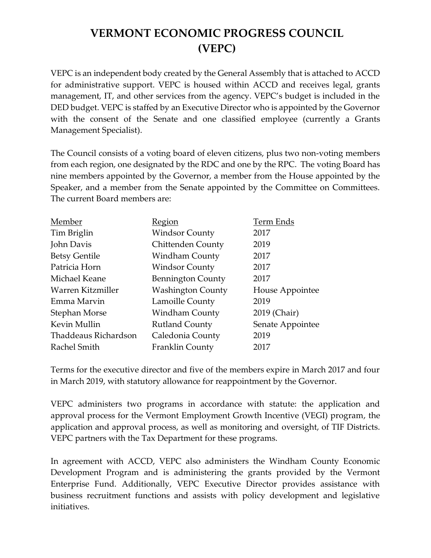# **VERMONT ECONOMIC PROGRESS COUNCIL (VEPC)**

VEPC is an independent body created by the General Assembly that is attached to ACCD for administrative support. VEPC is housed within ACCD and receives legal, grants management, IT, and other services from the agency. VEPC's budget is included in the DED budget. VEPC is staffed by an Executive Director who is appointed by the Governor with the consent of the Senate and one classified employee (currently a Grants Management Specialist).

The Council consists of a voting board of eleven citizens, plus two non-voting members from each region, one designated by the RDC and one by the RPC. The voting Board has nine members appointed by the Governor, a member from the House appointed by the Speaker, and a member from the Senate appointed by the Committee on Committees. The current Board members are:

| Member               | Region                   | Term Ends        |
|----------------------|--------------------------|------------------|
| Tim Briglin          | <b>Windsor County</b>    | 2017             |
| John Davis           | <b>Chittenden County</b> | 2019             |
| <b>Betsy Gentile</b> | <b>Windham County</b>    | 2017             |
| Patricia Horn        | <b>Windsor County</b>    | 2017             |
| Michael Keane        | <b>Bennington County</b> | 2017             |
| Warren Kitzmiller    | <b>Washington County</b> | House Appointee  |
| Emma Marvin          | Lamoille County          | 2019             |
| Stephan Morse        | <b>Windham County</b>    | 2019 (Chair)     |
| Kevin Mullin         | <b>Rutland County</b>    | Senate Appointee |
| Thaddeaus Richardson | Caledonia County         | 2019             |
| Rachel Smith         | Franklin County          | 2017             |
|                      |                          |                  |

Terms for the executive director and five of the members expire in March 2017 and four in March 2019, with statutory allowance for reappointment by the Governor.

VEPC administers two programs in accordance with statute: the application and approval process for the Vermont Employment Growth Incentive (VEGI) program, the application and approval process, as well as monitoring and oversight, of TIF Districts. VEPC partners with the Tax Department for these programs.

In agreement with ACCD, VEPC also administers the Windham County Economic Development Program and is administering the grants provided by the Vermont Enterprise Fund. Additionally, VEPC Executive Director provides assistance with business recruitment functions and assists with policy development and legislative initiatives.